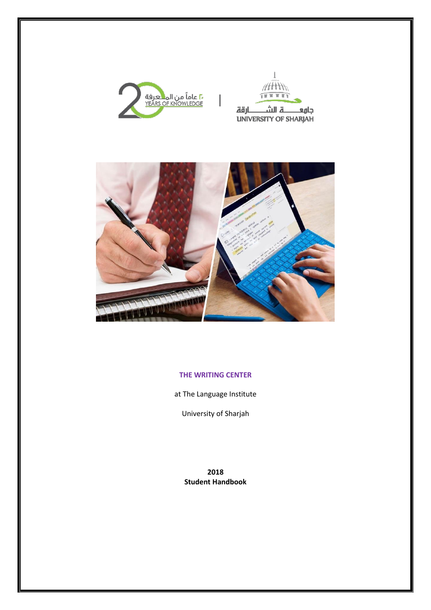





## **THE WRITING CENTER**

at The Language Institute

University of Sharjah

**2018 Student Handbook**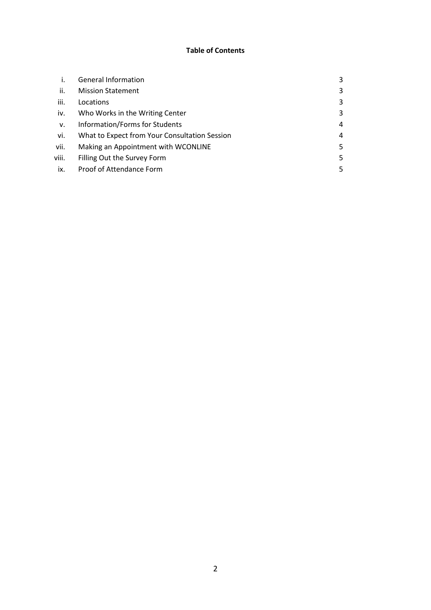## **Table of Contents**

|       | <b>General Information</b>                    | 3 |
|-------|-----------------------------------------------|---|
| ii.   | <b>Mission Statement</b>                      | 3 |
| iii.  | Locations                                     | 3 |
| iv.   | Who Works in the Writing Center               | 3 |
| v.    | Information/Forms for Students                | 4 |
| vi.   | What to Expect from Your Consultation Session | 4 |
| vii.  | Making an Appointment with WCONLINE           | 5 |
| viii. | Filling Out the Survey Form                   | 5 |
| ix.   | Proof of Attendance Form                      | 5 |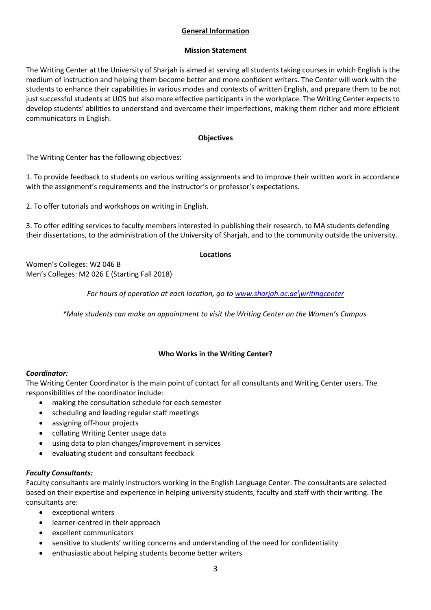# **General Information**

#### **Mission Statement**

The Writing Center at the University of Sharjah is aimed at serving all students taking courses in which English is the medium of instruction and helping them become better and more confident writers. The Center will work with the students to enhance their capabilities in various modes and contexts of written English, and prepare them to be not just successful students at UOS but also more effective participants in the workplace. The Writing Center expects to develop students' abilities to understand and overcome their imperfections, making them richer and more efficient communicators in English.

## **Objectives**

The Writing Center has the following objectives:

1. To provide feedback to students on various writing assignments and to improve their written work in accordance with the assignment's requirements and the instructor's or professor's expectations.

2. To offer tutorials and workshops on writing in English.

3. To offer editing services to faculty members interested in publishing their research, to MA students defending their dissertations, to the administration of the University of Sharjah, and to the community outside the university.

## **Locations**

Women's Colleges: W2 046 B Men's Colleges: M2 026 E (Starting Fall 2018)

*For hours of operation at each location, go to [www.sharjah.ac.ae\writingcenter](http://www.sharjah.ac.ae/writingcenter)*

*\*Male students can make an appointment to visit the Writing Center on the Women's Campus.*

# **Who Works in the Writing Center?**

# *Coordinator:*

The Writing Center Coordinator is the main point of contact for all consultants and Writing Center users. The responsibilities of the coordinator include:

- making the consultation schedule for each semester
- scheduling and leading regular staff meetings
- assigning off-hour projects
- collating Writing Center usage data
- using data to plan changes/improvement in services
- evaluating student and consultant feedback

# *Faculty Consultants:*

Faculty consultants are mainly instructors working in the English Language Center. The consultants are selected based on their expertise and experience in helping university students, faculty and staff with their writing. The consultants are:

- exceptional writers
- learner-centred in their approach
- excellent communicators
- sensitive to students' writing concerns and understanding of the need for confidentiality
- enthusiastic about helping students become better writers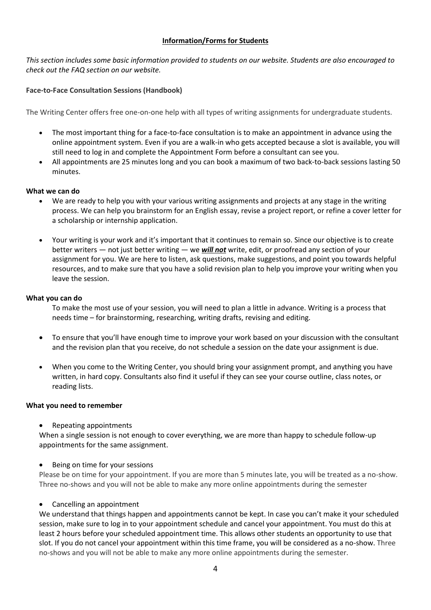## **Information/Forms for Students**

*This section includes some basic information provided to students on our website. Students are also encouraged to check out the FAQ section on our website.*

## **Face-to-Face Consultation Sessions (Handbook)**

The Writing Center offers free one-on-one help with all types of writing assignments for undergraduate students.

- The most important thing for a face-to-face consultation is to make an appointment in advance using the online appointment system. Even if you are a walk-in who gets accepted because a slot is available, you will still need to log in and complete the Appointment Form before a consultant can see you.
- All appointments are 25 minutes long and you can book a maximum of two back-to-back sessions lasting 50 minutes.

#### **What we can do**

- We are ready to help you with your various writing assignments and projects at any stage in the writing process. We can help you brainstorm for an English essay, revise a project report, or refine a cover letter for a scholarship or internship application.
- Your writing is your work and it's important that it continues to remain so. Since our objective is to create better writers — not just better writing — we *will not* write, edit, or proofread any section of your assignment for you. We are here to listen, ask questions, make suggestions, and point you towards helpful resources, and to make sure that you have a solid revision plan to help you improve your writing when you leave the session.

#### **What you can do**

To make the most use of your session, you will need to plan a little in advance. Writing is a process that needs time – for brainstorming, researching, writing drafts, revising and editing.

- To ensure that you'll have enough time to improve your work based on your discussion with the consultant and the revision plan that you receive, do not schedule a session on the date your assignment is due.
- When you come to the Writing Center, you should bring your assignment prompt, and anything you have written, in hard copy. Consultants also find it useful if they can see your course outline, class notes, or reading lists.

#### **What you need to remember**

Repeating appointments

When a single session is not enough to cover everything, we are more than happy to schedule follow-up appointments for the same assignment.

Being on time for your sessions

Please be on time for your appointment. If you are more than 5 minutes late, you will be treated as a no-show. Three no-shows and you will not be able to make any more online appointments during the semester

#### Cancelling an appointment

We understand that things happen and appointments cannot be kept. In case you can't make it your scheduled session, make sure to log in to your appointment schedule and cancel your appointment. You must do this at least 2 hours before your scheduled appointment time. This allows other students an opportunity to use that slot. If you do not cancel your appointment within this time frame, you will be considered as a no-show. Three no-shows and you will not be able to make any more online appointments during the semester.